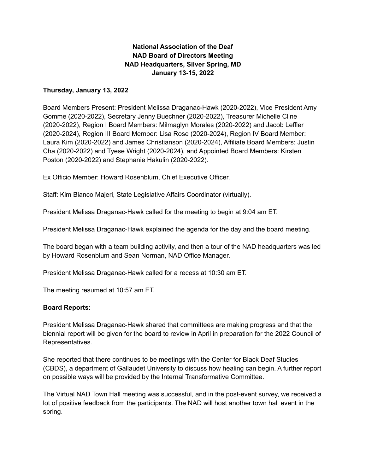# **National Association of the Deaf NAD Board of Directors Meeting NAD Headquarters, Silver Spring, MD January 13-15, 2022**

## **Thursday, January 13, 2022**

Board Members Present: President Melissa Draganac-Hawk (2020-2022), Vice President Amy Gomme (2020-2022), Secretary Jenny Buechner (2020-2022), Treasurer Michelle Cline (2020-2022), Region I Board Members: Milmaglyn Morales (2020-2022) and Jacob Leffler (2020-2024), Region III Board Member: Lisa Rose (2020-2024), Region IV Board Member: Laura Kim (2020-2022) and James Christianson (2020-2024), Affiliate Board Members: Justin Cha (2020-2022) and Tyese Wright (2020-2024), and Appointed Board Members: Kirsten Poston (2020-2022) and Stephanie Hakulin (2020-2022).

Ex Officio Member: Howard Rosenblum, Chief Executive Officer.

Staff: Kim Bianco Majeri, State Legislative Affairs Coordinator (virtually).

President Melissa Draganac-Hawk called for the meeting to begin at 9:04 am ET.

President Melissa Draganac-Hawk explained the agenda for the day and the board meeting.

The board began with a team building activity, and then a tour of the NAD headquarters was led by Howard Rosenblum and Sean Norman, NAD Office Manager.

President Melissa Draganac-Hawk called for a recess at 10:30 am ET.

The meeting resumed at 10:57 am ET.

### **Board Reports:**

President Melissa Draganac-Hawk shared that committees are making progress and that the biennial report will be given for the board to review in April in preparation for the 2022 Council of Representatives.

She reported that there continues to be meetings with the Center for Black Deaf Studies (CBDS), a department of Gallaudet University to discuss how healing can begin. A further report on possible ways will be provided by the Internal Transformative Committee.

The Virtual NAD Town Hall meeting was successful, and in the post-event survey, we received a lot of positive feedback from the participants. The NAD will host another town hall event in the spring.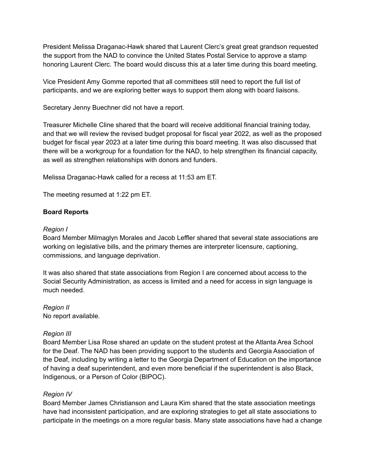President Melissa Draganac-Hawk shared that Laurent Clerc's great great grandson requested the support from the NAD to convince the United States Postal Service to approve a stamp honoring Laurent Clerc. The board would discuss this at a later time during this board meeting.

Vice President Amy Gomme reported that all committees still need to report the full list of participants, and we are exploring better ways to support them along with board liaisons.

Secretary Jenny Buechner did not have a report.

Treasurer Michelle Cline shared that the board will receive additional financial training today, and that we will review the revised budget proposal for fiscal year 2022, as well as the proposed budget for fiscal year 2023 at a later time during this board meeting. It was also discussed that there will be a workgroup for a foundation for the NAD, to help strengthen its financial capacity, as well as strengthen relationships with donors and funders.

Melissa Draganac-Hawk called for a recess at 11:53 am ET.

The meeting resumed at 1:22 pm ET.

## **Board Reports**

#### *Region I*

Board Member Milmaglyn Morales and Jacob Leffler shared that several state associations are working on legislative bills, and the primary themes are interpreter licensure, captioning, commissions, and language deprivation.

It was also shared that state associations from Region I are concerned about access to the Social Security Administration, as access is limited and a need for access in sign language is much needed.

*Region II* No report available.

### *Region III*

Board Member Lisa Rose shared an update on the student protest at the Atlanta Area School for the Deaf. The NAD has been providing support to the students and Georgia Association of the Deaf, including by writing a letter to the Georgia Department of Education on the importance of having a deaf superintendent, and even more beneficial if the superintendent is also Black, Indigenous, or a Person of Color (BIPOC).

### *Region IV*

Board Member James Christianson and Laura Kim shared that the state association meetings have had inconsistent participation, and are exploring strategies to get all state associations to participate in the meetings on a more regular basis. Many state associations have had a change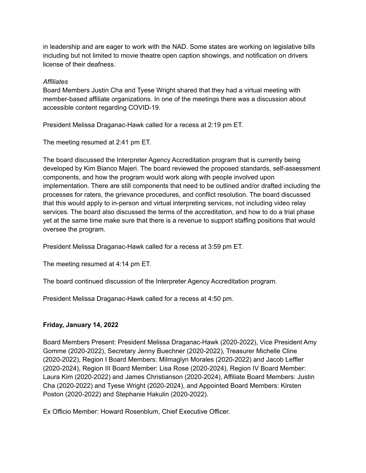in leadership and are eager to work with the NAD. Some states are working on legislative bills including but not limited to movie theatre open caption showings, and notification on drivers license of their deafness.

# *Affiliates*

Board Members Justin Cha and Tyese Wright shared that they had a virtual meeting with member-based affiliate organizations. In one of the meetings there was a discussion about accessible content regarding COVID-19.

President Melissa Draganac-Hawk called for a recess at 2:19 pm ET.

The meeting resumed at 2:41 pm ET.

The board discussed the Interpreter Agency Accreditation program that is currently being developed by Kim Bianco Majeri. The board reviewed the proposed standards, self-assessment components, and how the program would work along with people involved upon implementation. There are still components that need to be outlined and/or drafted including the processes for raters, the grievance procedures, and conflict resolution. The board discussed that this would apply to in-person and virtual interpreting services, not including video relay services. The board also discussed the terms of the accreditation, and how to do a trial phase yet at the same time make sure that there is a revenue to support staffing positions that would oversee the program.

President Melissa Draganac-Hawk called for a recess at 3:59 pm ET.

The meeting resumed at 4:14 pm ET.

The board continued discussion of the Interpreter Agency Accreditation program.

President Melissa Draganac-Hawk called for a recess at 4:50 pm.

# **Friday, January 14, 2022**

Board Members Present: President Melissa Draganac-Hawk (2020-2022), Vice President Amy Gomme (2020-2022), Secretary Jenny Buechner (2020-2022), Treasurer Michelle Cline (2020-2022), Region I Board Members: Milmaglyn Morales (2020-2022) and Jacob Leffler (2020-2024), Region III Board Member: Lisa Rose (2020-2024), Region IV Board Member: Laura Kim (2020-2022) and James Christianson (2020-2024), Affiliate Board Members: Justin Cha (2020-2022) and Tyese Wright (2020-2024), and Appointed Board Members: Kirsten Poston (2020-2022) and Stephanie Hakulin (2020-2022).

Ex Officio Member: Howard Rosenblum, Chief Executive Officer.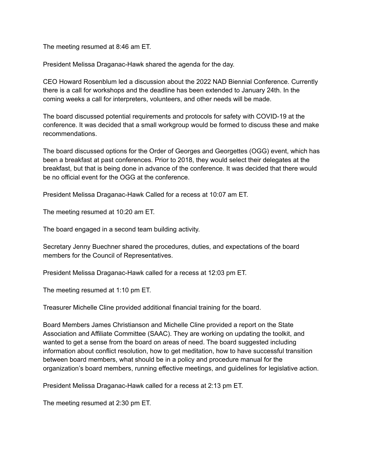The meeting resumed at 8:46 am ET.

President Melissa Draganac-Hawk shared the agenda for the day.

CEO Howard Rosenblum led a discussion about the 2022 NAD Biennial Conference. Currently there is a call for workshops and the deadline has been extended to January 24th. In the coming weeks a call for interpreters, volunteers, and other needs will be made.

The board discussed potential requirements and protocols for safety with COVID-19 at the conference. It was decided that a small workgroup would be formed to discuss these and make recommendations.

The board discussed options for the Order of Georges and Georgettes (OGG) event, which has been a breakfast at past conferences. Prior to 2018, they would select their delegates at the breakfast, but that is being done in advance of the conference. It was decided that there would be no official event for the OGG at the conference.

President Melissa Draganac-Hawk Called for a recess at 10:07 am ET.

The meeting resumed at 10:20 am ET.

The board engaged in a second team building activity.

Secretary Jenny Buechner shared the procedures, duties, and expectations of the board members for the Council of Representatives.

President Melissa Draganac-Hawk called for a recess at 12:03 pm ET.

The meeting resumed at 1:10 pm ET.

Treasurer Michelle Cline provided additional financial training for the board.

Board Members James Christianson and Michelle Cline provided a report on the State Association and Affiliate Committee (SAAC). They are working on updating the toolkit, and wanted to get a sense from the board on areas of need. The board suggested including information about conflict resolution, how to get meditation, how to have successful transition between board members, what should be in a policy and procedure manual for the organization's board members, running effective meetings, and guidelines for legislative action.

President Melissa Draganac-Hawk called for a recess at 2:13 pm ET.

The meeting resumed at 2:30 pm ET.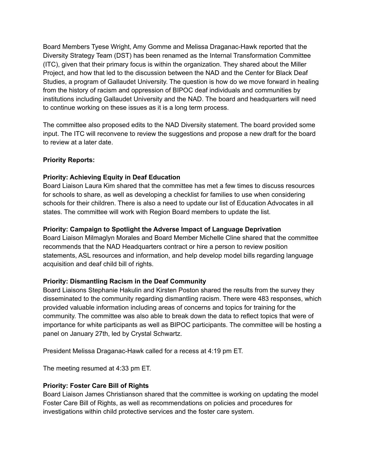Board Members Tyese Wright, Amy Gomme and Melissa Draganac-Hawk reported that the Diversity Strategy Team (DST) has been renamed as the Internal Transformation Committee (ITC), given that their primary focus is within the organization. They shared about the Miller Project, and how that led to the discussion between the NAD and the Center for Black Deaf Studies, a program of Gallaudet University. The question is how do we move forward in healing from the history of racism and oppression of BIPOC deaf individuals and communities by institutions including Gallaudet University and the NAD. The board and headquarters will need to continue working on these issues as it is a long term process.

The committee also proposed edits to the NAD Diversity statement. The board provided some input. The ITC will reconvene to review the suggestions and propose a new draft for the board to review at a later date.

# **Priority Reports:**

# **Priority: Achieving Equity in Deaf Education**

Board Liaison Laura Kim shared that the committee has met a few times to discuss resources for schools to share, as well as developing a checklist for families to use when considering schools for their children. There is also a need to update our list of Education Advocates in all states. The committee will work with Region Board members to update the list.

## **Priority: Campaign to Spotlight the Adverse Impact of Language Deprivation**

Board Liaison Milmaglyn Morales and Board Member Michelle Cline shared that the committee recommends that the NAD Headquarters contract or hire a person to review position statements, ASL resources and information, and help develop model bills regarding language acquisition and deaf child bill of rights.

# **Priority: Dismantling Racism in the Deaf Community**

Board Liaisons Stephanie Hakulin and Kirsten Poston shared the results from the survey they disseminated to the community regarding dismantling racism. There were 483 responses, which provided valuable information including areas of concerns and topics for training for the community. The committee was also able to break down the data to reflect topics that were of importance for white participants as well as BIPOC participants. The committee will be hosting a panel on January 27th, led by Crystal Schwartz.

President Melissa Draganac-Hawk called for a recess at 4:19 pm ET.

The meeting resumed at 4:33 pm ET.

# **Priority: Foster Care Bill of Rights**

Board Liaison James Christianson shared that the committee is working on updating the model Foster Care Bill of Rights, as well as recommendations on policies and procedures for investigations within child protective services and the foster care system.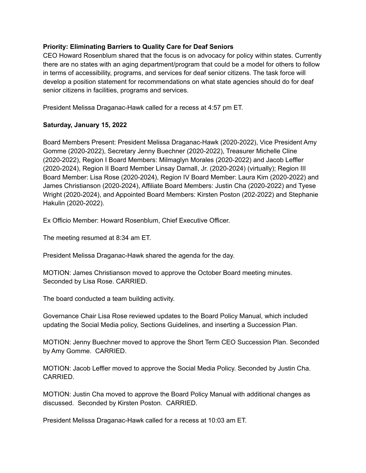## **Priority: Eliminating Barriers to Quality Care for Deaf Seniors**

CEO Howard Rosenblum shared that the focus is on advocacy for policy within states. Currently there are no states with an aging department/program that could be a model for others to follow in terms of accessibility, programs, and services for deaf senior citizens. The task force will develop a position statement for recommendations on what state agencies should do for deaf senior citizens in facilities, programs and services.

President Melissa Draganac-Hawk called for a recess at 4:57 pm ET.

## **Saturday, January 15, 2022**

Board Members Present: President Melissa Draganac-Hawk (2020-2022), Vice President Amy Gomme (2020-2022), Secretary Jenny Buechner (2020-2022), Treasurer Michelle Cline (2020-2022), Region I Board Members: Milmaglyn Morales (2020-2022) and Jacob Leffler (2020-2024), Region II Board Member Linsay Darnall, Jr. (2020-2024) (virtually); Region III Board Member: Lisa Rose (2020-2024), Region IV Board Member: Laura Kim (2020-2022) and James Christianson (2020-2024), Affiliate Board Members: Justin Cha (2020-2022) and Tyese Wright (2020-2024), and Appointed Board Members: Kirsten Poston (202-2022) and Stephanie Hakulin (2020-2022).

Ex Officio Member: Howard Rosenblum, Chief Executive Officer.

The meeting resumed at 8:34 am ET.

President Melissa Draganac-Hawk shared the agenda for the day.

MOTION: James Christianson moved to approve the October Board meeting minutes. Seconded by Lisa Rose. CARRIED.

The board conducted a team building activity.

Governance Chair Lisa Rose reviewed updates to the Board Policy Manual, which included updating the Social Media policy, Sections Guidelines, and inserting a Succession Plan.

MOTION: Jenny Buechner moved to approve the Short Term CEO Succession Plan. Seconded by Amy Gomme. CARRIED.

MOTION: Jacob Leffler moved to approve the Social Media Policy. Seconded by Justin Cha. CARRIED.

MOTION: Justin Cha moved to approve the Board Policy Manual with additional changes as discussed. Seconded by Kirsten Poston. CARRIED.

President Melissa Draganac-Hawk called for a recess at 10:03 am ET.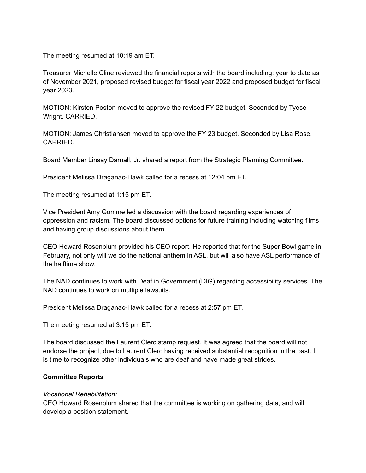The meeting resumed at 10:19 am ET.

Treasurer Michelle Cline reviewed the financial reports with the board including: year to date as of November 2021, proposed revised budget for fiscal year 2022 and proposed budget for fiscal year 2023.

MOTION: Kirsten Poston moved to approve the revised FY 22 budget. Seconded by Tyese Wright. CARRIED.

MOTION: James Christiansen moved to approve the FY 23 budget. Seconded by Lisa Rose. CARRIED.

Board Member Linsay Darnall, Jr. shared a report from the Strategic Planning Committee.

President Melissa Draganac-Hawk called for a recess at 12:04 pm ET.

The meeting resumed at 1:15 pm ET.

Vice President Amy Gomme led a discussion with the board regarding experiences of oppression and racism. The board discussed options for future training including watching films and having group discussions about them.

CEO Howard Rosenblum provided his CEO report. He reported that for the Super Bowl game in February, not only will we do the national anthem in ASL, but will also have ASL performance of the halftime show.

The NAD continues to work with Deaf in Government (DIG) regarding accessibility services. The NAD continues to work on multiple lawsuits.

President Melissa Draganac-Hawk called for a recess at 2:57 pm ET.

The meeting resumed at 3:15 pm ET.

The board discussed the Laurent Clerc stamp request. It was agreed that the board will not endorse the project, due to Laurent Clerc having received substantial recognition in the past. It is time to recognize other individuals who are deaf and have made great strides.

#### **Committee Reports**

#### *Vocational Rehabilitation:*

CEO Howard Rosenblum shared that the committee is working on gathering data, and will develop a position statement.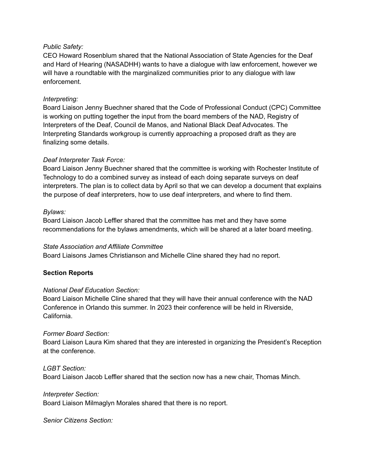## *Public Safety:*

CEO Howard Rosenblum shared that the National Association of State Agencies for the Deaf and Hard of Hearing (NASADHH) wants to have a dialogue with law enforcement, however we will have a roundtable with the marginalized communities prior to any dialogue with law enforcement.

## *Interpreting:*

Board Liaison Jenny Buechner shared that the Code of Professional Conduct (CPC) Committee is working on putting together the input from the board members of the NAD, Registry of Interpreters of the Deaf, Council de Manos, and National Black Deaf Advocates. The Interpreting Standards workgroup is currently approaching a proposed draft as they are finalizing some details.

## *Deaf Interpreter Task Force:*

Board Liaison Jenny Buechner shared that the committee is working with Rochester Institute of Technology to do a combined survey as instead of each doing separate surveys on deaf interpreters. The plan is to collect data by April so that we can develop a document that explains the purpose of deaf interpreters, how to use deaf interpreters, and where to find them.

## *Bylaws:*

Board Liaison Jacob Leffler shared that the committee has met and they have some recommendations for the bylaws amendments, which will be shared at a later board meeting.

### *State Association and Affiliate Committee*

Board Liaisons James Christianson and Michelle Cline shared they had no report.

# **Section Reports**

### *National Deaf Education Section:*

Board Liaison Michelle Cline shared that they will have their annual conference with the NAD Conference in Orlando this summer. In 2023 their conference will be held in Riverside, California.

### *Former Board Section:*

Board Liaison Laura Kim shared that they are interested in organizing the President's Reception at the conference.

### *LGBT Section:*

Board Liaison Jacob Leffler shared that the section now has a new chair, Thomas Minch.

### *Interpreter Section:*

Board Liaison Milmaglyn Morales shared that there is no report.

*Senior Citizens Section:*